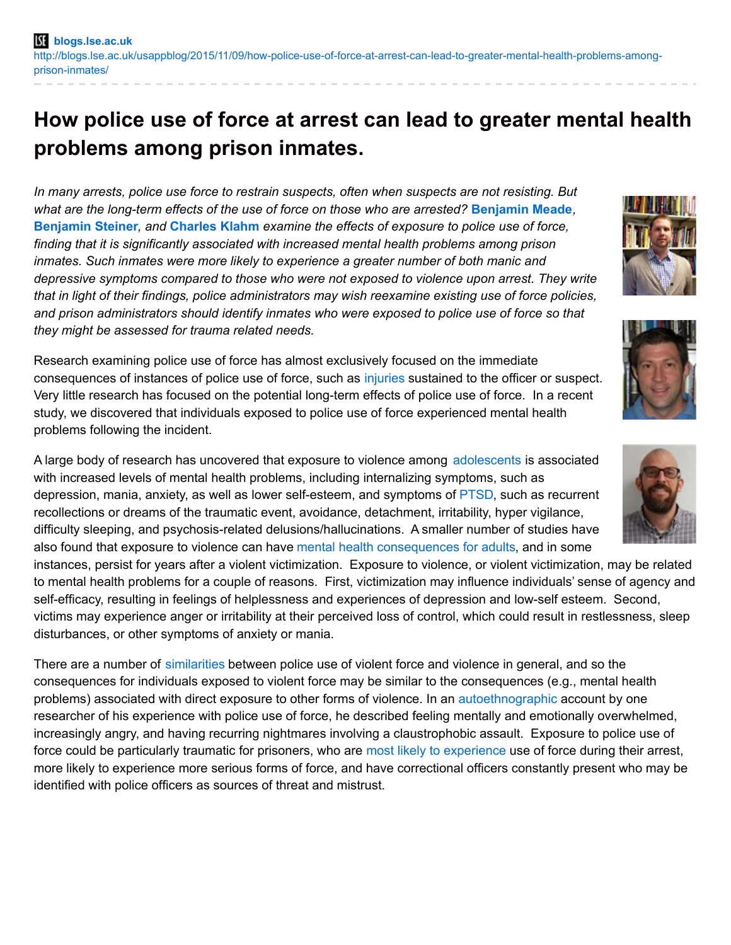# **How police use of force at arrest can lead to greater mental health problems among prison inmates.**

*In many arrests, police use force to restrain suspects, often when suspects are not resisting. But what are the long-term effects of the use of force on those who are arrested?* **[Benjamin](http://wp.me/p3I2YF-4qj#Author) Meade***,* **[Benjamin](http://wp.me/p3I2YF-4qj#Author) Steiner***, and* **[Charles](http://wp.me/p3I2YF-4qj#Author) Klahm** *examine the effects of exposure to police use of force, finding that it is significantly associated with increased mental health problems among prison inmates. Such inmates were more likely to experience a greater number of both manic and depressive symptoms compared to those who were not exposed to violence upon arrest. They write that in light of their findings, police administrators may wish reexamine existing use of force policies, and prison administrators should identify inmates who were exposed to police use of force so that they might be assessed for trauma related needs.*

Research examining police use of force has almost exclusively focused on the immediate consequences of instances of police use of force, such as [injuries](http://www.emeraldinsight.com/doi/full/10.1108/13639510710778822) sustained to the officer or suspect. Very little research has focused on the potential long-term effects of police use of force. In a recent study, we discovered that individuals exposed to police use of force experienced mental health problems following the incident.

A large body of research has uncovered that exposure to violence among [adolescents](https://www.ncjrs.gov/pdffiles1/ojjdp/235504.pdf) is associated with increased levels of mental health problems, including internalizing symptoms, such as depression, mania, anxiety, as well as lower self-esteem, and symptoms of [PTSD](http://www.ncbi.nlm.nih.gov/pubmed/19144232), such as recurrent recollections or dreams of the traumatic event, avoidance, detachment, irritability, hyper vigilance, difficulty sleeping, and psychosis-related delusions/hallucinations. A smaller number of studies have also found that exposure to violence can have mental health [consequences](https://books.google.co.uk/books?id=HHsWm1xYvEEC&dq=Victims+of+Crime,+2nd+Edition&source=gbs_navlinks_s) for adults, and in some

instances, persist for years after a violent victimization. Exposure to violence, or violent victimization, may be related to mental health problems for a couple of reasons. First, victimization may influence individuals' sense of agency and self-efficacy, resulting in feelings of helplessness and experiences of depression and low-self esteem. Second, victims may experience anger or irritability at their perceived loss of control, which could result in restlessness, sleep disturbances, or other symptoms of anxiety or mania.

There are a number of [similarities](http://cjr.sagepub.com/content/20/2/146.short?rss=1&ssource=mfc) between police use of violent force and violence in general, and so the consequences for individuals exposed to violent force may be similar to the consequences (e.g., mental health problems) associated with direct exposure to other forms of violence. In an [autoethnographic](http://link.springer.com/article/10.1007%2Fs10612-013-9181-8#/page-1) account by one researcher of his experience with police use of force, he described feeling mentally and emotionally overwhelmed, increasingly angry, and having recurring nightmares involving a claustrophobic assault. Exposure to police use of force could be particularly traumatic for prisoners, who are most likely to [experience](http://internationalresponsestocrime.pbworks.com/w/file/fetch/91468455/police use of force study hickman 2008.pdf) use of force during their arrest, more likely to experience more serious forms of force, and have correctional officers constantly present who may be identified with police officers as sources of threat and mistrust.







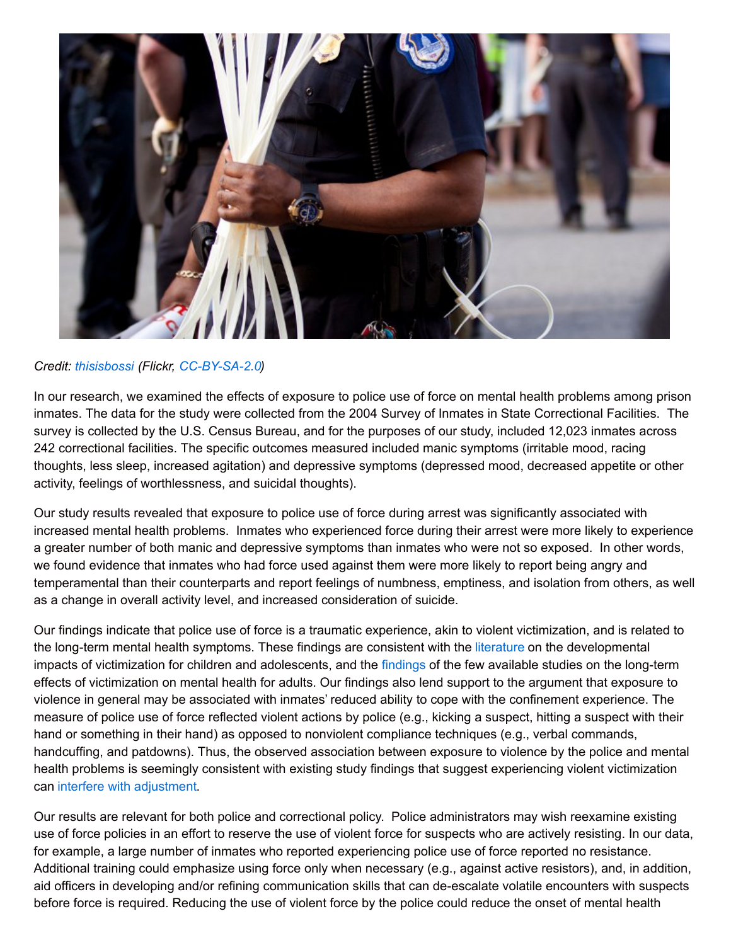

## *Credit: [thisisbossi](https://www.flickr.com/photos/thisisbossi/) (Flickr, [CC-BY-SA-2.0](https://creativecommons.org/licenses/by-nc-sa/2.0/))*

In our research, we examined the effects of exposure to police use of force on mental health problems among prison inmates. The data for the study were collected from the 2004 Survey of Inmates in State Correctional Facilities. The survey is collected by the U.S. Census Bureau, and for the purposes of our study, included 12,023 inmates across 242 correctional facilities. The specific outcomes measured included manic symptoms (irritable mood, racing thoughts, less sleep, increased agitation) and depressive symptoms (depressed mood, decreased appetite or other activity, feelings of worthlessness, and suicidal thoughts).

Our study results revealed that exposure to police use of force during arrest was significantly associated with increased mental health problems. Inmates who experienced force during their arrest were more likely to experience a greater number of both manic and depressive symptoms than inmates who were not so exposed. In other words, we found evidence that inmates who had force used against them were more likely to report being angry and temperamental than their counterparts and report feelings of numbness, emptiness, and isolation from others, as well as a change in overall activity level, and increased consideration of suicide.

Our findings indicate that police use of force is a traumatic experience, akin to violent victimization, and is related to the long-term mental health symptoms. These findings are consistent with the [literature](http://www.unh.edu/ccrc/pdf/CV14.pdf) on the developmental impacts of victimization for children and adolescents, and the [findings](http://jrc.sagepub.com/content/39/2/214.abstract) of the few available studies on the long-term effects of victimization on mental health for adults. Our findings also lend support to the argument that exposure to violence in general may be associated with inmates' reduced ability to cope with the confinement experience. The measure of police use of force reflected violent actions by police (e.g., kicking a suspect, hitting a suspect with their hand or something in their hand) as opposed to nonviolent compliance techniques (e.g., verbal commands, handcuffing, and patdowns). Thus, the observed association between exposure to violence by the police and mental health problems is seemingly consistent with existing study findings that suggest experiencing violent victimization can interfere with [adjustment](http://cjb.sagepub.com/content/26/2/235.abstract).

Our results are relevant for both police and correctional policy. Police administrators may wish reexamine existing use of force policies in an effort to reserve the use of violent force for suspects who are actively resisting. In our data, for example, a large number of inmates who reported experiencing police use of force reported no resistance. Additional training could emphasize using force only when necessary (e.g., against active resistors), and, in addition, aid officers in developing and/or refining communication skills that can de-escalate volatile encounters with suspects before force is required. Reducing the use of violent force by the police could reduce the onset of mental health